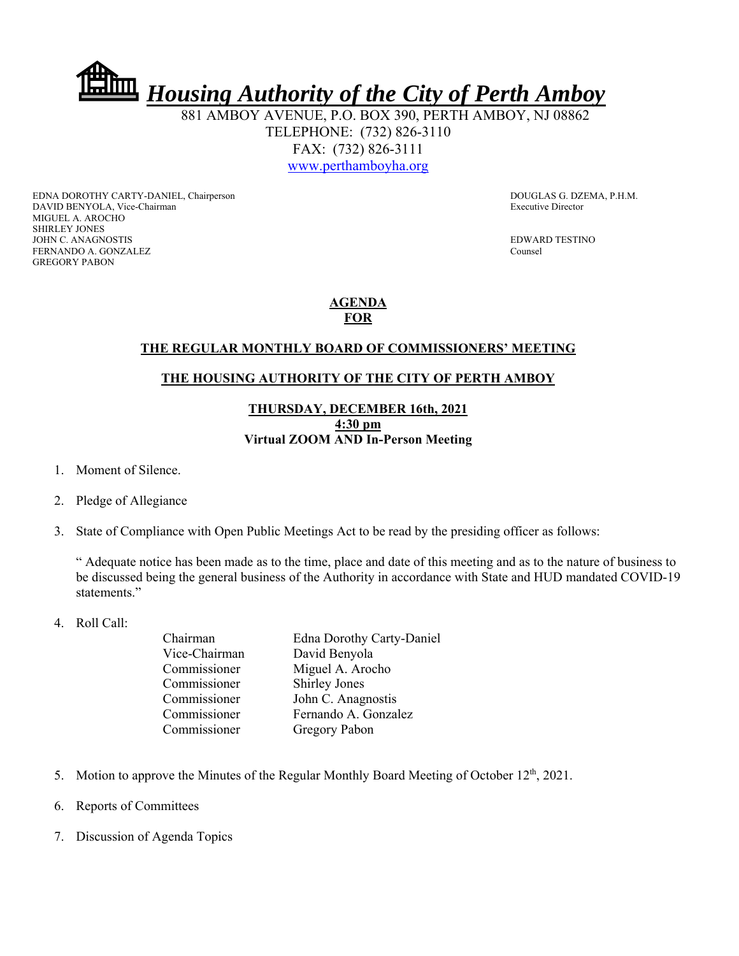*Housing Authority of the City of Perth Amboy*

 881 AMBOY AVENUE, P.O. BOX 390, PERTH AMBOY, NJ 08862 TELEPHONE: (732) 826-3110 FAX: (732) 826-3111 www.perthamboyha.org

EDNA DOROTHY CARTY-DANIEL, Chairperson **DOUGLAS G. DZEMA, P.H.M.** DAVID BENYOLA, Vice-Chairman Executive Director MIGUEL A. AROCHO SHIRLEY JONES JOHN C. ANAGNOSTIS EDWARD TESTINO FERNANDO A. GONZALEZ Counsel GREGORY PABON

## **AGENDA FOR**

## **THE REGULAR MONTHLY BOARD OF COMMISSIONERS' MEETING**

## **THE HOUSING AUTHORITY OF THE CITY OF PERTH AMBOY**

## **THURSDAY, DECEMBER 16th, 2021 4:30 pm Virtual ZOOM AND In-Person Meeting**

- 1. Moment of Silence.
- 2. Pledge of Allegiance
- 3. State of Compliance with Open Public Meetings Act to be read by the presiding officer as follows:

" Adequate notice has been made as to the time, place and date of this meeting and as to the nature of business to be discussed being the general business of the Authority in accordance with State and HUD mandated COVID-19 statements."

4. Roll Call:

| Chairman      | <b>Edna Dorothy Carty-Daniel</b> |
|---------------|----------------------------------|
| Vice-Chairman | David Benyola                    |
| Commissioner  | Miguel A. Arocho                 |
| Commissioner  | <b>Shirley Jones</b>             |
| Commissioner  | John C. Anagnostis               |
| Commissioner  | Fernando A. Gonzalez             |
| Commissioner  | Gregory Pabon                    |
|               |                                  |

- 5. Motion to approve the Minutes of the Regular Monthly Board Meeting of October  $12<sup>th</sup>$ , 2021.
- 6. Reports of Committees
- 7. Discussion of Agenda Topics